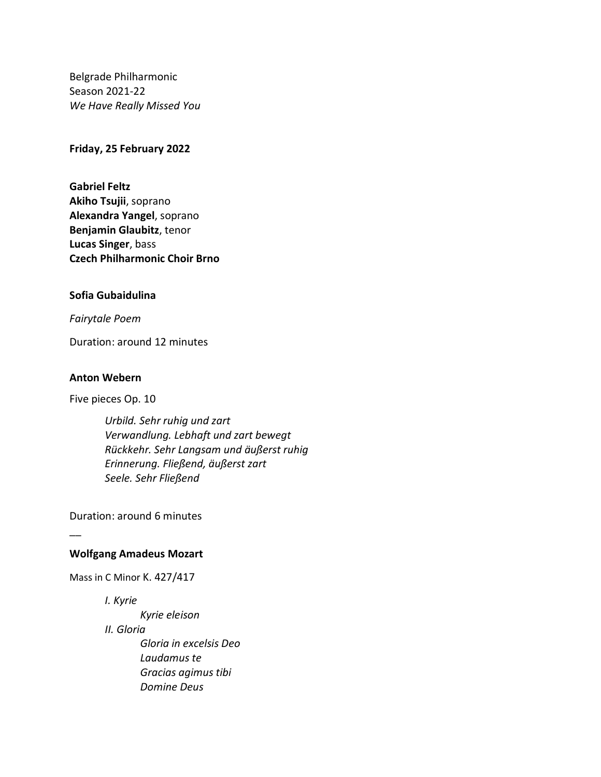Belgrade Philharmonic Season 2021-22 *We Have Really Missed You*

## **Friday, 25 February 2022**

**Gabriel Feltz Akiho Tsujii**, soprano **Alexandra Yangel**, soprano **Benjamin Glaubitz**, tenor **Lucas Singer**, bass **Czech Philharmonic Choir Brno**

## **Sofia Gubaidulina**

*Fairytale Poem*

Duration: around 12 minutes

## **Anton Webern**

Five pieces Op. 10

*Urbild. Sehr ruhig und zart Verwandlung. Lebhaft und zart bewegt Rückkehr. Sehr Langsam und äußerst ruhig Erinnerung. Fließend, äußerst zart Seele. Sehr Fließend*

Duration: around 6 minutes

## **Wolfgang Amadeus Mozart**

Mass in C Minor K. 427/417

*I. Kyrie*

 $\overline{\phantom{a}}$ 

*Kyrie eleison II. Gloria Gloria in excelsis Deo Laudamus te Gracias agimus tibi Domine Deus*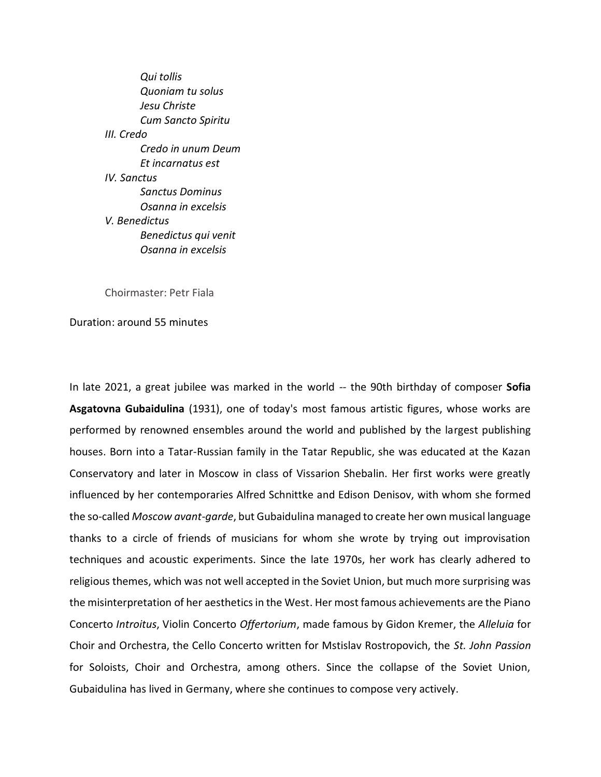*Qui tollis Quoniam tu solus Jesu Christe Cum Sancto Spiritu III. Credo Credo in unum Deum Et incarnatus est IV. Sanctus Sanctus Dominus Osanna in excelsis V. Benedictus Benedictus qui venit Osanna in excelsis*

Choirmaster: Petr Fiala

Duration: around 55 minutes

In late 2021, a great jubilee was marked in the world -- the 90th birthday of composer **Sofia Asgatovna Gubaidulina** (1931), one of today's most famous artistic figures, whose works are performed by renowned ensembles around the world and published by the largest publishing houses. Born into a Tatar-Russian family in the Tatar Republic, she was educated at the Kazan Conservatory and later in Moscow in class of Vissarion Shebalin. Her first works were greatly influenced by her contemporaries Alfred Schnittke and Edison Denisov, with whom she formed the so-called *Moscow avant-garde*, but Gubaidulina managed to create her own musical language thanks to a circle of friends of musicians for whom she wrote by trying out improvisation techniques and acoustic experiments. Since the late 1970s, her work has clearly adhered to religious themes, which was not well accepted in the Soviet Union, but much more surprising was the misinterpretation of her aesthetics in the West. Her most famous achievements are the Piano Concerto *Introitus*, Violin Concerto *Offertorium*, made famous by Gidon Kremer, the *Alleluia* for Choir and Orchestra, the Cello Concerto written for Mstislav Rostropovich, the *St. John Passion*  for Soloists, Choir and Orchestra, among others. Since the collapse of the Soviet Union, Gubaidulina has lived in Germany, where she continues to compose very actively.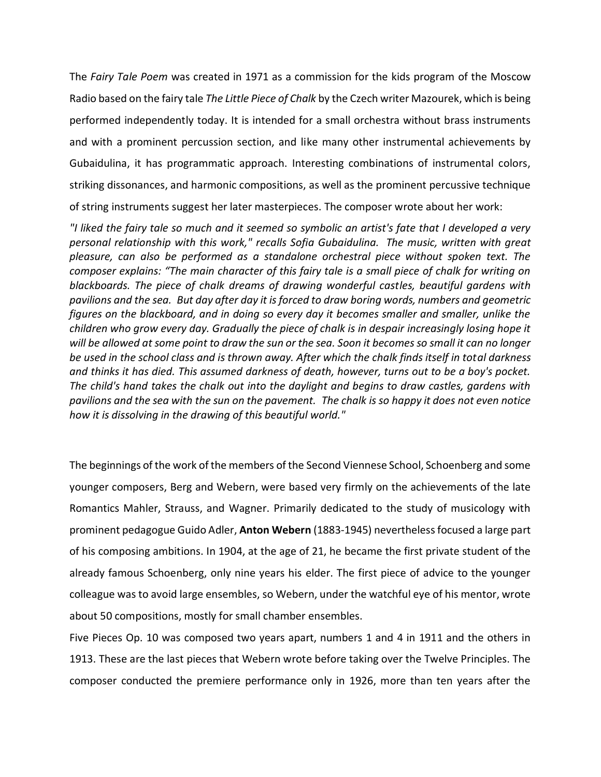The *Fairy Tale Poem* was created in 1971 as a commission for the kids program of the Moscow Radio based on the fairy tale *The Little Piece of Chalk* by the Czech writer Mazourek, which is being performed independently today. It is intended for a small orchestra without brass instruments and with a prominent percussion section, and like many other instrumental achievements by Gubaidulina, it has programmatic approach. Interesting combinations of instrumental colors, striking dissonances, and harmonic compositions, as well as the prominent percussive technique of string instruments suggest her later masterpieces. The composer wrote about her work:

*"I liked the fairy tale so much and it seemed so symbolic an artist's fate that I developed a very personal relationship with this work," recalls Sofia Gubaidulina. The music, written with great pleasure, can also be performed as a standalone orchestral piece without spoken text. The composer explains: "The main character of this fairy tale is a small piece of chalk for writing on blackboards. The piece of chalk dreams of drawing wonderful castles, beautiful gardens with pavilions and the sea. But day after day it is forced to draw boring words, numbers and geometric figures on the blackboard, and in doing so every day it becomes smaller and smaller, unlike the children who grow every day. Gradually the piece of chalk is in despair increasingly losing hope it will be allowed at some point to draw the sun or the sea. Soon it becomes so small it can no longer be used in the school class and is thrown away. After which the chalk finds itself in total darkness and thinks it has died. This assumed darkness of death, however, turns out to be a boy's pocket. The child's hand takes the chalk out into the daylight and begins to draw castles, gardens with pavilions and the sea with the sun on the pavement. The chalk is so happy it does not even notice how it is dissolving in the drawing of this beautiful world."*

The beginnings of the work of the members of the Second Viennese School, Schoenberg and some younger composers, Berg and Webern, were based very firmly on the achievements of the late Romantics Mahler, Strauss, and Wagner. Primarily dedicated to the study of musicology with prominent pedagogue Guido Adler, **Anton Webern** (1883-1945) nevertheless focused a large part of his composing ambitions. In 1904, at the age of 21, he became the first private student of the already famous Schoenberg, only nine years his elder. The first piece of advice to the younger colleague was to avoid large ensembles, so Webern, under the watchful eye of his mentor, wrote about 50 compositions, mostly for small chamber ensembles.

Five Pieces Op. 10 was composed two years apart, numbers 1 and 4 in 1911 and the others in 1913. These are the last pieces that Webern wrote before taking over the Twelve Principles. The composer conducted the premiere performance only in 1926, more than ten years after the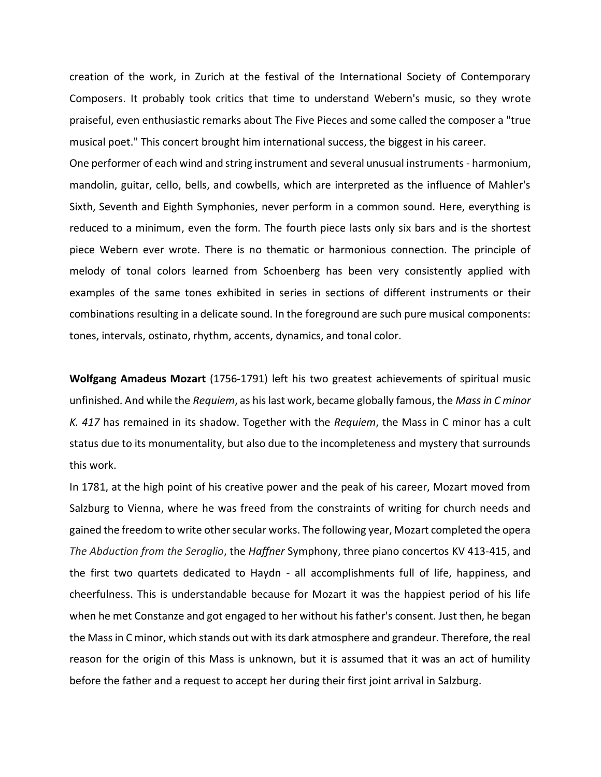creation of the work, in Zurich at the festival of the International Society of Contemporary Composers. It probably took critics that time to understand Webern's music, so they wrote praiseful, even enthusiastic remarks about The Five Pieces and some called the composer a "true musical poet." This concert brought him international success, the biggest in his career.

One performer of each wind and string instrument and several unusual instruments - harmonium, mandolin, guitar, cello, bells, and cowbells, which are interpreted as the influence of Mahler's Sixth, Seventh and Eighth Symphonies, never perform in a common sound. Here, everything is reduced to a minimum, even the form. The fourth piece lasts only six bars and is the shortest piece Webern ever wrote. There is no thematic or harmonious connection. The principle of melody of tonal colors learned from Schoenberg has been very consistently applied with examples of the same tones exhibited in series in sections of different instruments or their combinations resulting in a delicate sound. In the foreground are such pure musical components: tones, intervals, ostinato, rhythm, accents, dynamics, and tonal color.

**Wolfgang Amadeus Mozart** (1756-1791) left his two greatest achievements of spiritual music unfinished. And while the *Requiem*, as his last work, became globally famous, the *Mass in C minor K. 417* has remained in its shadow. Together with the *Requiem*, the Mass in C minor has a cult status due to its monumentality, but also due to the incompleteness and mystery that surrounds this work.

In 1781, at the high point of his creative power and the peak of his career, Mozart moved from Salzburg to Vienna, where he was freed from the constraints of writing for church needs and gained the freedom to write other secular works. The following year, Mozart completed the opera *The Abduction from the Seraglio*, the *Haffner* Symphony, three piano concertos KV 413-415, and the first two quartets dedicated to Haydn - all accomplishments full of life, happiness, and cheerfulness. This is understandable because for Mozart it was the happiest period of his life when he met Constanze and got engaged to her without his father's consent. Just then, he began the Mass in C minor, which stands out with its dark atmosphere and grandeur. Therefore, the real reason for the origin of this Mass is unknown, but it is assumed that it was an act of humility before the father and a request to accept her during their first joint arrival in Salzburg.